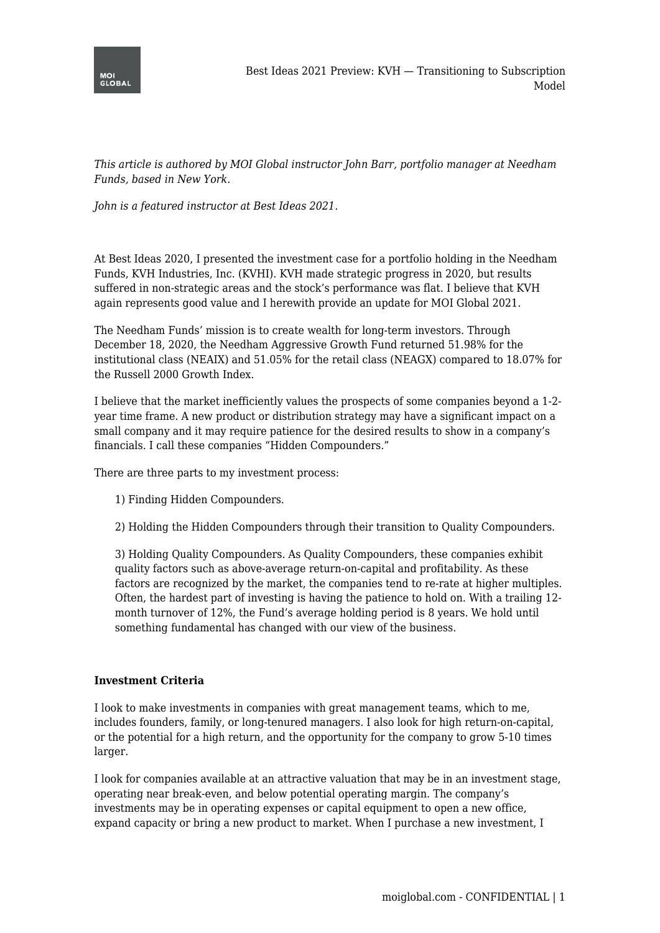

*This article is authored by MOI Global instructor John Barr, portfolio manager at Needham Funds, based in New York.*

*John is a featured instructor at Best Ideas 2021.*

At Best Ideas 2020, I presented the investment case for a portfolio holding in the Needham Funds, KVH Industries, Inc. (KVHI). KVH made strategic progress in 2020, but results suffered in non-strategic areas and the stock's performance was flat. I believe that KVH again represents good value and I herewith provide an update for MOI Global 2021.

The Needham Funds' mission is to create wealth for long-term investors. Through December 18, 2020, the Needham Aggressive Growth Fund returned 51.98% for the institutional class (NEAIX) and 51.05% for the retail class (NEAGX) compared to 18.07% for the Russell 2000 Growth Index.

I believe that the market inefficiently values the prospects of some companies beyond a 1-2 year time frame. A new product or distribution strategy may have a significant impact on a small company and it may require patience for the desired results to show in a company's financials. I call these companies "Hidden Compounders."

There are three parts to my investment process:

- 1) Finding Hidden Compounders.
- 2) Holding the Hidden Compounders through their transition to Quality Compounders.

3) Holding Quality Compounders. As Quality Compounders, these companies exhibit quality factors such as above-average return-on-capital and profitability. As these factors are recognized by the market, the companies tend to re-rate at higher multiples. Often, the hardest part of investing is having the patience to hold on. With a trailing 12 month turnover of 12%, the Fund's average holding period is 8 years. We hold until something fundamental has changed with our view of the business.

## **Investment Criteria**

I look to make investments in companies with great management teams, which to me, includes founders, family, or long-tenured managers. I also look for high return-on-capital, or the potential for a high return, and the opportunity for the company to grow 5-10 times larger.

I look for companies available at an attractive valuation that may be in an investment stage, operating near break-even, and below potential operating margin. The company's investments may be in operating expenses or capital equipment to open a new office, expand capacity or bring a new product to market. When I purchase a new investment, I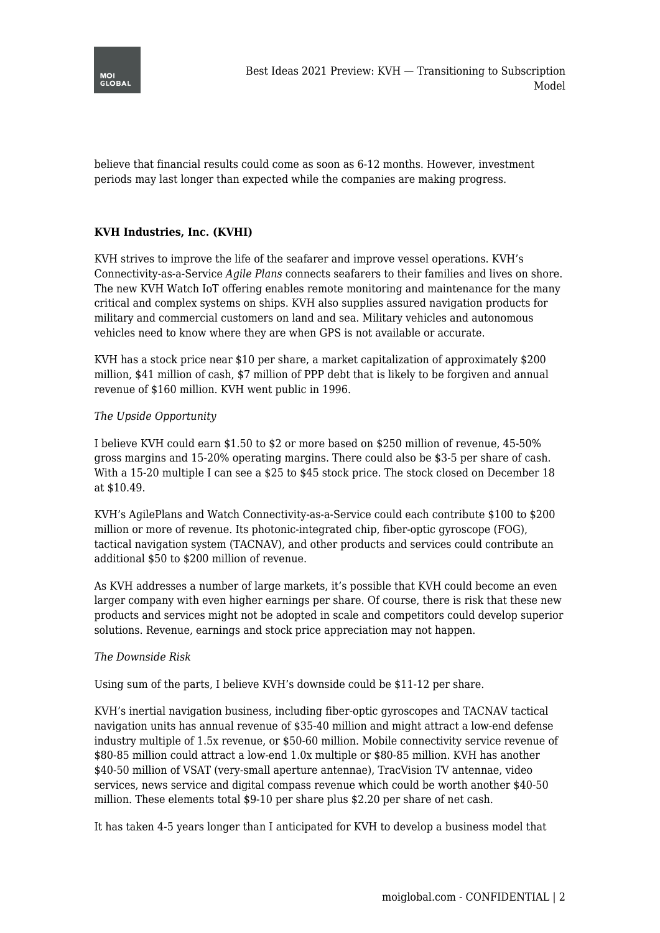

believe that financial results could come as soon as 6-12 months. However, investment periods may last longer than expected while the companies are making progress.

# **KVH Industries, Inc. (KVHI)**

KVH strives to improve the life of the seafarer and improve vessel operations. KVH's Connectivity-as-a-Service *Agile Plans* connects seafarers to their families and lives on shore. The new KVH Watch IoT offering enables remote monitoring and maintenance for the many critical and complex systems on ships. KVH also supplies assured navigation products for military and commercial customers on land and sea. Military vehicles and autonomous vehicles need to know where they are when GPS is not available or accurate.

KVH has a stock price near \$10 per share, a market capitalization of approximately \$200 million, \$41 million of cash, \$7 million of PPP debt that is likely to be forgiven and annual revenue of \$160 million. KVH went public in 1996.

# *The Upside Opportunity*

I believe KVH could earn \$1.50 to \$2 or more based on \$250 million of revenue, 45-50% gross margins and 15-20% operating margins. There could also be \$3-5 per share of cash. With a 15-20 multiple I can see a \$25 to \$45 stock price. The stock closed on December 18 at \$10.49.

KVH's AgilePlans and Watch Connectivity-as-a-Service could each contribute \$100 to \$200 million or more of revenue. Its photonic-integrated chip, fiber-optic gyroscope (FOG), tactical navigation system (TACNAV), and other products and services could contribute an additional \$50 to \$200 million of revenue.

As KVH addresses a number of large markets, it's possible that KVH could become an even larger company with even higher earnings per share. Of course, there is risk that these new products and services might not be adopted in scale and competitors could develop superior solutions. Revenue, earnings and stock price appreciation may not happen.

## *The Downside Risk*

Using sum of the parts, I believe KVH's downside could be \$11-12 per share.

KVH's inertial navigation business, including fiber-optic gyroscopes and TACNAV tactical navigation units has annual revenue of \$35-40 million and might attract a low-end defense industry multiple of 1.5x revenue, or \$50-60 million. Mobile connectivity service revenue of \$80-85 million could attract a low-end 1.0x multiple or \$80-85 million. KVH has another \$40-50 million of VSAT (very-small aperture antennae), TracVision TV antennae, video services, news service and digital compass revenue which could be worth another \$40-50 million. These elements total \$9-10 per share plus \$2.20 per share of net cash.

It has taken 4-5 years longer than I anticipated for KVH to develop a business model that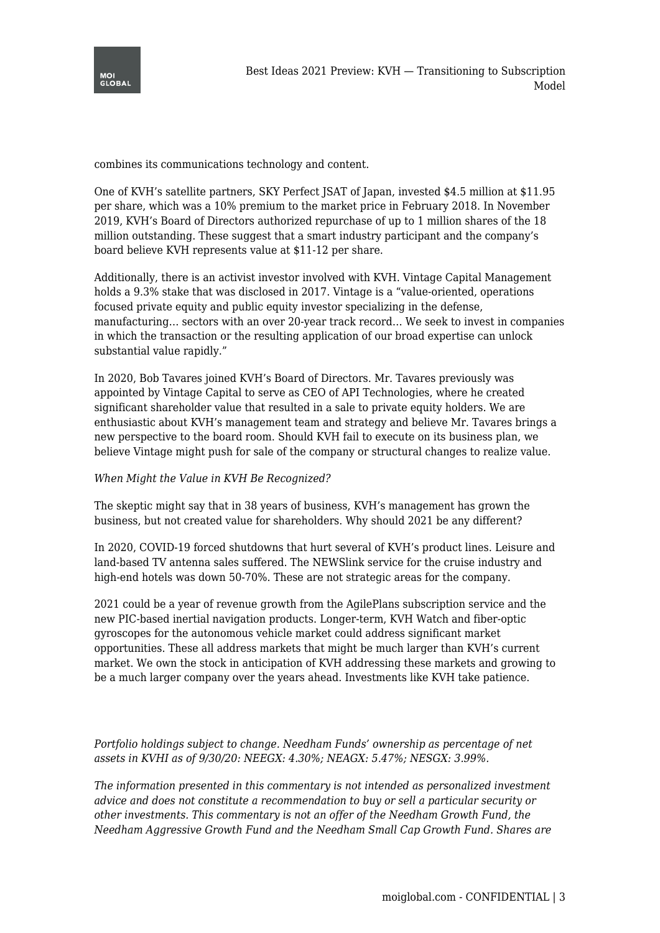

combines its communications technology and content.

One of KVH's satellite partners, SKY Perfect JSAT of Japan, invested \$4.5 million at \$11.95 per share, which was a 10% premium to the market price in February 2018. In November 2019, KVH's Board of Directors authorized repurchase of up to 1 million shares of the 18 million outstanding. These suggest that a smart industry participant and the company's board believe KVH represents value at \$11-12 per share.

Additionally, there is an activist investor involved with KVH. Vintage Capital Management holds a 9.3% stake that was disclosed in 2017. Vintage is a "value-oriented, operations focused private equity and public equity investor specializing in the defense, manufacturing… sectors with an over 20-year track record… We seek to invest in companies in which the transaction or the resulting application of our broad expertise can unlock substantial value rapidly."

In 2020, Bob Tavares joined KVH's Board of Directors. Mr. Tavares previously was appointed by Vintage Capital to serve as CEO of API Technologies, where he created significant shareholder value that resulted in a sale to private equity holders. We are enthusiastic about KVH's management team and strategy and believe Mr. Tavares brings a new perspective to the board room. Should KVH fail to execute on its business plan, we believe Vintage might push for sale of the company or structural changes to realize value.

# *When Might the Value in KVH Be Recognized?*

The skeptic might say that in 38 years of business, KVH's management has grown the business, but not created value for shareholders. Why should 2021 be any different?

In 2020, COVID-19 forced shutdowns that hurt several of KVH's product lines. Leisure and land-based TV antenna sales suffered. The NEWSlink service for the cruise industry and high-end hotels was down 50-70%. These are not strategic areas for the company.

2021 could be a year of revenue growth from the AgilePlans subscription service and the new PIC-based inertial navigation products. Longer-term, KVH Watch and fiber-optic gyroscopes for the autonomous vehicle market could address significant market opportunities. These all address markets that might be much larger than KVH's current market. We own the stock in anticipation of KVH addressing these markets and growing to be a much larger company over the years ahead. Investments like KVH take patience.

*Portfolio holdings subject to change. Needham Funds' ownership as percentage of net assets in KVHI as of 9/30/20: NEEGX: 4.30%; NEAGX: 5.47%; NESGX: 3.99%.*

*The information presented in this commentary is not intended as personalized investment advice and does not constitute a recommendation to buy or sell a particular security or other investments. This commentary is not an offer of the Needham Growth Fund, the Needham Aggressive Growth Fund and the Needham Small Cap Growth Fund. Shares are*